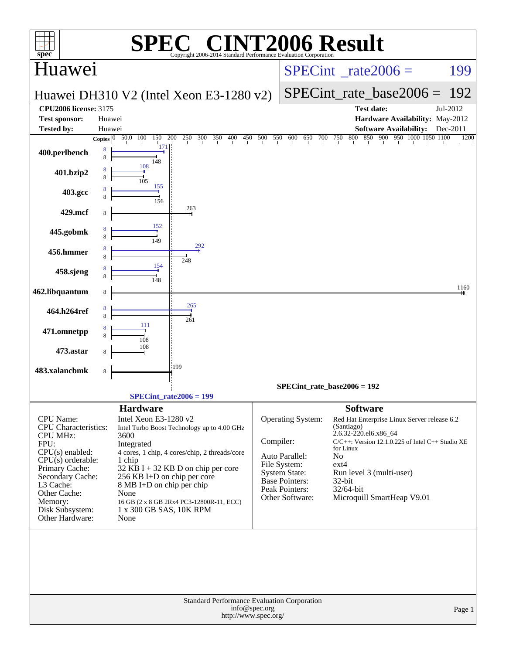|                                                              | $\bigcap$                                                                                   | <b>T2006 Result</b>                                                             |  |  |  |  |
|--------------------------------------------------------------|---------------------------------------------------------------------------------------------|---------------------------------------------------------------------------------|--|--|--|--|
| $spec^*$<br>Huawei                                           | Copyright 2006-2014 Standard Performance Evaluation Corporation                             | $SPECint^{\circ}$ <sub>_rate2006</sub> =<br>199                                 |  |  |  |  |
|                                                              |                                                                                             |                                                                                 |  |  |  |  |
|                                                              | Huawei DH310 V2 (Intel Xeon E3-1280 v2)                                                     | $SPECint$ rate base2006 =<br>192                                                |  |  |  |  |
| <b>CPU2006 license: 3175</b><br><b>Test sponsor:</b>         | Huawei                                                                                      | <b>Test date:</b><br>Jul-2012<br>Hardware Availability: May-2012                |  |  |  |  |
| <b>Tested by:</b>                                            | Huawei                                                                                      | <b>Software Availability:</b><br>Dec-2011                                       |  |  |  |  |
|                                                              | 300<br>450 500 550<br>50.0 100<br>150 200<br>250<br>350<br>400<br>Copies $ 0\rangle$<br>171 | 850 900<br>950 1000 1050 1100<br>600<br>650<br>700<br>750<br>800<br>1200        |  |  |  |  |
| 400.perlbench                                                | 8<br>8<br>148                                                                               |                                                                                 |  |  |  |  |
| 401.bzip2                                                    | 108<br>8<br>8                                                                               |                                                                                 |  |  |  |  |
| 403.gcc                                                      | 105<br>155                                                                                  |                                                                                 |  |  |  |  |
|                                                              | 156<br>263                                                                                  |                                                                                 |  |  |  |  |
| 429.mcf                                                      | 8                                                                                           |                                                                                 |  |  |  |  |
| 445.gobmk                                                    | 152<br>8<br>149                                                                             |                                                                                 |  |  |  |  |
| 456.hmmer                                                    | 292<br>8<br>8                                                                               |                                                                                 |  |  |  |  |
| 458.sjeng                                                    | 248<br>154<br>8                                                                             |                                                                                 |  |  |  |  |
|                                                              | 8<br>148                                                                                    |                                                                                 |  |  |  |  |
| 462.libquantum                                               | 8                                                                                           | 1160                                                                            |  |  |  |  |
| 464.h264ref                                                  | 265<br>8<br>8                                                                               |                                                                                 |  |  |  |  |
| 471.omnetpp                                                  | 261<br>111<br>8                                                                             |                                                                                 |  |  |  |  |
|                                                              | 108<br>108                                                                                  |                                                                                 |  |  |  |  |
| 473.astar                                                    | 8                                                                                           |                                                                                 |  |  |  |  |
| 483.xalancbmk                                                | :199<br>8                                                                                   |                                                                                 |  |  |  |  |
|                                                              |                                                                                             | $SPECint_rate_base2006 = 192$                                                   |  |  |  |  |
|                                                              | $SPECint_rate2006 = 199$<br><b>Hardware</b>                                                 | <b>Software</b>                                                                 |  |  |  |  |
| <b>CPU</b> Name:                                             | Intel Xeon E3-1280 v2                                                                       | Operating System:<br>Red Hat Enterprise Linux Server release 6.2                |  |  |  |  |
| CPU Characteristics:<br><b>CPU MHz:</b>                      | Intel Turbo Boost Technology up to 4.00 GHz<br>3600                                         | (Santiago)<br>2.6.32-220.el6.x86_64                                             |  |  |  |  |
| FPU:                                                         | Integrated                                                                                  | Compiler:<br>$C/C++$ : Version 12.1.0.225 of Intel $C++$ Studio XE<br>for Linux |  |  |  |  |
| $CPU(s)$ enabled:<br>$CPU(s)$ orderable:                     | 4 cores, 1 chip, 4 cores/chip, 2 threads/core<br>1 chip                                     | Auto Parallel:<br>No                                                            |  |  |  |  |
| Primary Cache:                                               | $32$ KB I + 32 KB D on chip per core                                                        | File System:<br>$ext{4}$<br>System State:<br>Run level 3 (multi-user)           |  |  |  |  |
| Secondary Cache:<br>L3 Cache:                                | 256 KB I+D on chip per core                                                                 | Base Pointers:<br>32-bit                                                        |  |  |  |  |
| Other Cache:                                                 | 8 MB I+D on chip per chip<br>None                                                           | Peak Pointers:<br>32/64-bit                                                     |  |  |  |  |
| Memory:                                                      | 16 GB (2 x 8 GB 2Rx4 PC3-12800R-11, ECC)                                                    | Other Software:<br>Microquill SmartHeap V9.01                                   |  |  |  |  |
| Disk Subsystem:<br>Other Hardware:                           | 1 x 300 GB SAS, 10K RPM<br>None                                                             |                                                                                 |  |  |  |  |
|                                                              |                                                                                             |                                                                                 |  |  |  |  |
|                                                              |                                                                                             |                                                                                 |  |  |  |  |
|                                                              |                                                                                             |                                                                                 |  |  |  |  |
|                                                              |                                                                                             |                                                                                 |  |  |  |  |
|                                                              |                                                                                             |                                                                                 |  |  |  |  |
| Standard Performance Evaluation Corporation<br>info@spec.org |                                                                                             |                                                                                 |  |  |  |  |
| Page 1<br>http://www.spec.org/                               |                                                                                             |                                                                                 |  |  |  |  |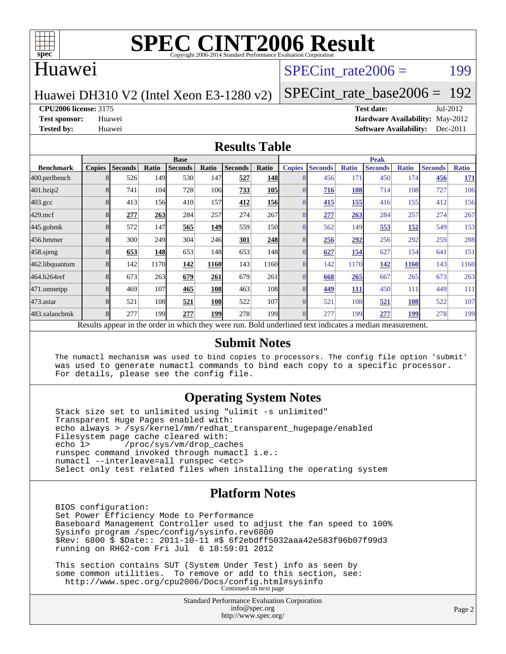

### Huawei

## SPECint rate $2006 =$  199

Huawei DH310 V2 (Intel Xeon E3-1280 v2)

[SPECint\\_rate\\_base2006 =](http://www.spec.org/auto/cpu2006/Docs/result-fields.html#SPECintratebase2006) 192

**[CPU2006 license:](http://www.spec.org/auto/cpu2006/Docs/result-fields.html#CPU2006license)** 3175 **[Test date:](http://www.spec.org/auto/cpu2006/Docs/result-fields.html#Testdate)** Jul-2012 **[Test sponsor:](http://www.spec.org/auto/cpu2006/Docs/result-fields.html#Testsponsor)** Huawei **[Hardware Availability:](http://www.spec.org/auto/cpu2006/Docs/result-fields.html#HardwareAvailability)** May-2012 **[Tested by:](http://www.spec.org/auto/cpu2006/Docs/result-fields.html#Testedby)** Huawei **[Software Availability:](http://www.spec.org/auto/cpu2006/Docs/result-fields.html#SoftwareAvailability)** Dec-2011

#### **[Results Table](http://www.spec.org/auto/cpu2006/Docs/result-fields.html#ResultsTable)**

|                    | <b>Base</b>                                                                                              |                |       |                |            |                | <b>Peak</b>      |               |                |              |                |              |                |              |
|--------------------|----------------------------------------------------------------------------------------------------------|----------------|-------|----------------|------------|----------------|------------------|---------------|----------------|--------------|----------------|--------------|----------------|--------------|
| <b>Benchmark</b>   | <b>Copies</b>                                                                                            | <b>Seconds</b> | Ratio | <b>Seconds</b> | Ratio      | <b>Seconds</b> | Ratio            | <b>Copies</b> | <b>Seconds</b> | <b>Ratio</b> | <b>Seconds</b> | <b>Ratio</b> | <b>Seconds</b> | <b>Ratio</b> |
| 400.perlbench      | 8                                                                                                        | 526            | 149   | 530            | 147        | 527            | <b>148</b>       | 8             | 456            | 171          | 450            | 174          | 456            | <u>171</u>   |
| 401.bzip2          | 8                                                                                                        | 741            | 104   | 728            | 106        | 733            | <b>105</b>       |               | 716            | 108          | 714            | 108          | 727            | 106          |
| $403.\mathrm{gcc}$ | 8                                                                                                        | 413            | 156   | 410            | 157        | 412            | <b>156</b>       | 8             | 415            | 155          | 416            | 155          | 412            | 156          |
| $429$ .mcf         | 8                                                                                                        | 277            | 263   | 284            | 257        | 274            | 267              | 8             | 277            | 263          | 284            | 257          | 274            | 267          |
| $445$ .gobmk       |                                                                                                          | 572            | 147   | 565            | 149        | 559            | 150I             | 8             | 562            | 149          | 553            | <u>152</u>   | 549            | 153          |
| 456.hmmer          |                                                                                                          | 300            | 249   | 304            | <b>246</b> | 301            | 248              | 8             | 256            | 292          | 256            | 292          | 259            | 288          |
| $458$ .sjeng       | 8                                                                                                        | 653            | 148   | 653            | 148        | 653            | 148I             | 8             | 627            | 154          | 627            | 154          | 641            | 151          |
| 462.libquantum     | 8                                                                                                        | 142            | 1170  | 142            | 1160       | 143            | 1160             | 8             | 142            | 1170         | 142            | <b>1160</b>  | 143            | 1160         |
| 464.h264ref        | 8                                                                                                        | 673            | 263   | 679            | 261        | 679            | 261              | 8             | 668            | 265          | 667            | 265          | 673            | 263          |
| 471.omnetpp        | 8                                                                                                        | 469            | 107   | 465            | 108        | 463            | 108              | 8             | 449            | <b>111</b>   | 450            | 111          | 449            | 111          |
| $473.$ astar       | 8                                                                                                        | 521            | 108   | 521            | 108        | 522            | 107              | 8             | 521            | 108          | 521            | 108          | 522            | 107          |
| 483.xalancbmk      | 8                                                                                                        | 277            | 199   | 277            | 199        | 278            | 199 <sub>1</sub> | 8             | 277            | 199          | 277            | <u>199</u>   | 278            | 199          |
|                    | Results appear in the order in which they were run. Bold underlined text indicates a median measurement. |                |       |                |            |                |                  |               |                |              |                |              |                |              |

#### **[Submit Notes](http://www.spec.org/auto/cpu2006/Docs/result-fields.html#SubmitNotes)**

 The numactl mechanism was used to bind copies to processors. The config file option 'submit' was used to generate numactl commands to bind each copy to a specific processor. For details, please see the config file.

#### **[Operating System Notes](http://www.spec.org/auto/cpu2006/Docs/result-fields.html#OperatingSystemNotes)**

 Stack size set to unlimited using "ulimit -s unlimited" Transparent Huge Pages enabled with: echo always > /sys/kernel/mm/redhat\_transparent\_hugepage/enabled Filesystem page cache cleared with:<br>echo 1> /proc/sys/vm/drop cac /proc/sys/vm/drop\_caches runspec command invoked through numactl i.e.: numactl --interleave=all runspec <etc> Select only test related files when installing the operating system

### **[Platform Notes](http://www.spec.org/auto/cpu2006/Docs/result-fields.html#PlatformNotes)**

 BIOS configuration: Set Power Efficiency Mode to Performance Baseboard Management Controller used to adjust the fan speed to 100% Sysinfo program /spec/config/sysinfo.rev6800 \$Rev: 6800 \$ \$Date:: 2011-10-11 #\$ 6f2ebdff5032aaa42e583f96b07f99d3 running on RH62-com Fri Jul 6 18:59:01 2012

 This section contains SUT (System Under Test) info as seen by some common utilities. To remove or add to this section, see: <http://www.spec.org/cpu2006/Docs/config.html#sysinfo> Continued on next page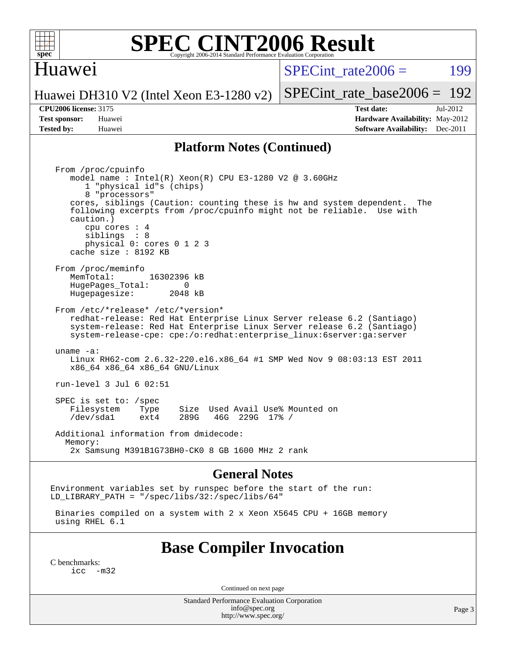

### Huawei

SPECint rate $2006 =$  199

[SPECint\\_rate\\_base2006 =](http://www.spec.org/auto/cpu2006/Docs/result-fields.html#SPECintratebase2006) 192

Huawei DH310 V2 (Intel Xeon E3-1280 v2)

**[Tested by:](http://www.spec.org/auto/cpu2006/Docs/result-fields.html#Testedby)** Huawei **[Software Availability:](http://www.spec.org/auto/cpu2006/Docs/result-fields.html#SoftwareAvailability)** Dec-2011

**[CPU2006 license:](http://www.spec.org/auto/cpu2006/Docs/result-fields.html#CPU2006license)** 3175 **[Test date:](http://www.spec.org/auto/cpu2006/Docs/result-fields.html#Testdate)** Jul-2012 **[Test sponsor:](http://www.spec.org/auto/cpu2006/Docs/result-fields.html#Testsponsor)** Huawei **[Hardware Availability:](http://www.spec.org/auto/cpu2006/Docs/result-fields.html#HardwareAvailability)** May-2012

#### **[Platform Notes \(Continued\)](http://www.spec.org/auto/cpu2006/Docs/result-fields.html#PlatformNotes)**

 From /proc/cpuinfo model name : Intel(R) Xeon(R) CPU E3-1280 V2 @ 3.60GHz 1 "physical id"s (chips) 8 "processors" cores, siblings (Caution: counting these is hw and system dependent. The following excerpts from /proc/cpuinfo might not be reliable. Use with caution.) cpu cores : 4 siblings : 8 physical 0: cores 0 1 2 3 cache size : 8192 KB From /proc/meminfo MemTotal: 16302396 kB HugePages\_Total: 0<br>Hugepagesize: 2048 kB Hugepagesize: From /etc/\*release\* /etc/\*version\* redhat-release: Red Hat Enterprise Linux Server release 6.2 (Santiago) system-release: Red Hat Enterprise Linux Server release 6.2 (Santiago) system-release-cpe: cpe:/o:redhat:enterprise\_linux:6server:ga:server uname -a: Linux RH62-com 2.6.32-220.el6.x86\_64 #1 SMP Wed Nov 9 08:03:13 EST 2011 x86\_64 x86\_64 x86\_64 GNU/Linux run-level 3 Jul 6 02:51 SPEC is set to: /spec Filesystem Type Size Used Avail Use% Mounted on<br>
/dev/sdal ext4 289G 46G 229G 17% / /dev/sda1 ext4 289G 46G 229G 17% / Additional information from dmidecode: Memory: 2x Samsung M391B1G73BH0-CK0 8 GB 1600 MHz 2 rank

#### **[General Notes](http://www.spec.org/auto/cpu2006/Docs/result-fields.html#GeneralNotes)**

Environment variables set by runspec before the start of the run: LD LIBRARY PATH = "/spec/libs/32:/spec/libs/64"

 Binaries compiled on a system with 2 x Xeon X5645 CPU + 16GB memory using RHEL 6.1

## **[Base Compiler Invocation](http://www.spec.org/auto/cpu2006/Docs/result-fields.html#BaseCompilerInvocation)**

[C benchmarks](http://www.spec.org/auto/cpu2006/Docs/result-fields.html#Cbenchmarks):  $inc -m32$ 

Continued on next page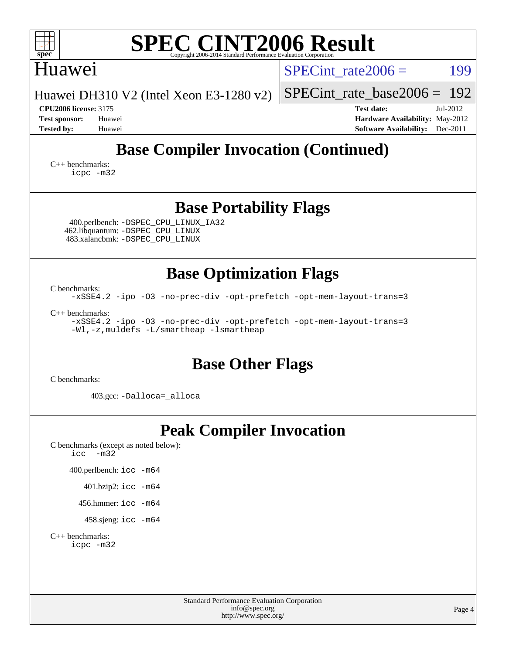| <b>SPEC CINT2006 Result</b><br>spec <sup>®</sup><br>Copyright 2006-2014 Standard Performance Evaluation Corporatio                                                                                                                                                  |                                                                                                            |
|---------------------------------------------------------------------------------------------------------------------------------------------------------------------------------------------------------------------------------------------------------------------|------------------------------------------------------------------------------------------------------------|
| Huawei                                                                                                                                                                                                                                                              | $SPECint rate 2006 =$<br>199                                                                               |
| Huawei DH310 V2 (Intel Xeon E3-1280 v2)                                                                                                                                                                                                                             | 192<br>$SPECint_rate_base2006 =$                                                                           |
| <b>CPU2006 license: 3175</b><br><b>Test sponsor:</b><br>Huawei<br><b>Tested by:</b><br>Huawei                                                                                                                                                                       | <b>Test date:</b><br>Jul-2012<br>Hardware Availability: May-2012<br><b>Software Availability:</b> Dec-2011 |
| <b>Base Compiler Invocation (Continued)</b><br>$C_{++}$ benchmarks:<br>icpc -m32                                                                                                                                                                                    |                                                                                                            |
| <b>Base Portability Flags</b><br>400.perlbench: -DSPEC_CPU_LINUX_IA32<br>462.libquantum: - DSPEC_CPU_LINUX<br>483.xalancbmk: -DSPEC_CPU_LINUX                                                                                                                       |                                                                                                            |
| <b>Base Optimization Flags</b><br>C benchmarks:<br>-xSSE4.2 -ipo -03 -no-prec-div -opt-prefetch -opt-mem-layout-trans=3<br>$C_{++}$ benchmarks:<br>-xSSE4.2 -ipo -03 -no-prec-div -opt-prefetch -opt-mem-layout-trans=3<br>-Wl,-z, muldefs -L/smartheap -lsmartheap |                                                                                                            |
| <b>Base Other Flags</b><br>C benchmarks:                                                                                                                                                                                                                            |                                                                                                            |
| 403.gcc: -Dalloca=_alloca                                                                                                                                                                                                                                           |                                                                                                            |
| <b>Peak Compiler Invocation</b><br>C benchmarks (except as noted below):<br>icc<br>$-m32$<br>400.perlbench: icc -m64<br>401.bzip2: icc -m64<br>456.hmmer: $\text{icc}$ -m64<br>458.sjeng: icc -m64<br>$C_{++}$ benchmarks:<br>icpc -m32                             |                                                                                                            |
| <b>Standard Performance Evaluation Corporation</b><br>info@spec.org<br>http://www.spec.org/                                                                                                                                                                         | Page 4                                                                                                     |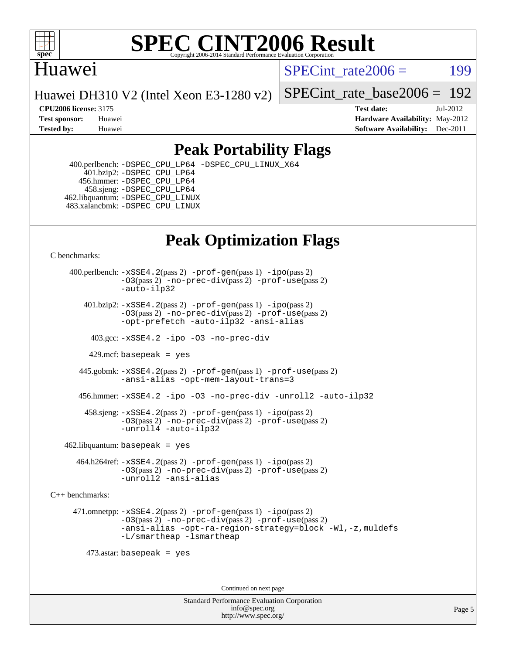

## Huawei

SPECint rate $2006 =$  199

Huawei DH310 V2 (Intel Xeon E3-1280 v2)

[SPECint\\_rate\\_base2006 =](http://www.spec.org/auto/cpu2006/Docs/result-fields.html#SPECintratebase2006) 192

**[CPU2006 license:](http://www.spec.org/auto/cpu2006/Docs/result-fields.html#CPU2006license)** 3175 **[Test date:](http://www.spec.org/auto/cpu2006/Docs/result-fields.html#Testdate)** Jul-2012 **[Test sponsor:](http://www.spec.org/auto/cpu2006/Docs/result-fields.html#Testsponsor)** Huawei **[Hardware Availability:](http://www.spec.org/auto/cpu2006/Docs/result-fields.html#HardwareAvailability)** May-2012 **[Tested by:](http://www.spec.org/auto/cpu2006/Docs/result-fields.html#Testedby)** Huawei **[Software Availability:](http://www.spec.org/auto/cpu2006/Docs/result-fields.html#SoftwareAvailability)** Dec-2011

## **[Peak Portability Flags](http://www.spec.org/auto/cpu2006/Docs/result-fields.html#PeakPortabilityFlags)**

 400.perlbench: [-DSPEC\\_CPU\\_LP64](http://www.spec.org/cpu2006/results/res2012q3/cpu2006-20120711-23625.flags.html#b400.perlbench_peakCPORTABILITY_DSPEC_CPU_LP64) [-DSPEC\\_CPU\\_LINUX\\_X64](http://www.spec.org/cpu2006/results/res2012q3/cpu2006-20120711-23625.flags.html#b400.perlbench_peakCPORTABILITY_DSPEC_CPU_LINUX_X64) 401.bzip2: [-DSPEC\\_CPU\\_LP64](http://www.spec.org/cpu2006/results/res2012q3/cpu2006-20120711-23625.flags.html#suite_peakCPORTABILITY401_bzip2_DSPEC_CPU_LP64) 456.hmmer: [-DSPEC\\_CPU\\_LP64](http://www.spec.org/cpu2006/results/res2012q3/cpu2006-20120711-23625.flags.html#suite_peakCPORTABILITY456_hmmer_DSPEC_CPU_LP64) 458.sjeng: [-DSPEC\\_CPU\\_LP64](http://www.spec.org/cpu2006/results/res2012q3/cpu2006-20120711-23625.flags.html#suite_peakCPORTABILITY458_sjeng_DSPEC_CPU_LP64) 462.libquantum: [-DSPEC\\_CPU\\_LINUX](http://www.spec.org/cpu2006/results/res2012q3/cpu2006-20120711-23625.flags.html#b462.libquantum_peakCPORTABILITY_DSPEC_CPU_LINUX) 483.xalancbmk: [-DSPEC\\_CPU\\_LINUX](http://www.spec.org/cpu2006/results/res2012q3/cpu2006-20120711-23625.flags.html#b483.xalancbmk_peakCXXPORTABILITY_DSPEC_CPU_LINUX)

## **[Peak Optimization Flags](http://www.spec.org/auto/cpu2006/Docs/result-fields.html#PeakOptimizationFlags)**

[C benchmarks](http://www.spec.org/auto/cpu2006/Docs/result-fields.html#Cbenchmarks):

 400.perlbench: [-xSSE4.2](http://www.spec.org/cpu2006/results/res2012q3/cpu2006-20120711-23625.flags.html#user_peakPASS2_CFLAGSPASS2_LDCFLAGS400_perlbench_f-xSSE42_f91528193cf0b216347adb8b939d4107)(pass 2) [-prof-gen](http://www.spec.org/cpu2006/results/res2012q3/cpu2006-20120711-23625.flags.html#user_peakPASS1_CFLAGSPASS1_LDCFLAGS400_perlbench_prof_gen_e43856698f6ca7b7e442dfd80e94a8fc)(pass 1) [-ipo](http://www.spec.org/cpu2006/results/res2012q3/cpu2006-20120711-23625.flags.html#user_peakPASS2_CFLAGSPASS2_LDCFLAGS400_perlbench_f-ipo)(pass 2) [-O3](http://www.spec.org/cpu2006/results/res2012q3/cpu2006-20120711-23625.flags.html#user_peakPASS2_CFLAGSPASS2_LDCFLAGS400_perlbench_f-O3)(pass 2) [-no-prec-div](http://www.spec.org/cpu2006/results/res2012q3/cpu2006-20120711-23625.flags.html#user_peakPASS2_CFLAGSPASS2_LDCFLAGS400_perlbench_f-no-prec-div)(pass 2) [-prof-use](http://www.spec.org/cpu2006/results/res2012q3/cpu2006-20120711-23625.flags.html#user_peakPASS2_CFLAGSPASS2_LDCFLAGS400_perlbench_prof_use_bccf7792157ff70d64e32fe3e1250b55)(pass 2) [-auto-ilp32](http://www.spec.org/cpu2006/results/res2012q3/cpu2006-20120711-23625.flags.html#user_peakCOPTIMIZE400_perlbench_f-auto-ilp32)  $401.bzip2: -xSSE4.2(pass 2) -prof-qen(pass 1) -ipo(pass 2)$  $401.bzip2: -xSSE4.2(pass 2) -prof-qen(pass 1) -ipo(pass 2)$  $401.bzip2: -xSSE4.2(pass 2) -prof-qen(pass 1) -ipo(pass 2)$  $401.bzip2: -xSSE4.2(pass 2) -prof-qen(pass 1) -ipo(pass 2)$  $401.bzip2: -xSSE4.2(pass 2) -prof-qen(pass 1) -ipo(pass 2)$ [-O3](http://www.spec.org/cpu2006/results/res2012q3/cpu2006-20120711-23625.flags.html#user_peakPASS2_CFLAGSPASS2_LDCFLAGS401_bzip2_f-O3)(pass 2) [-no-prec-div](http://www.spec.org/cpu2006/results/res2012q3/cpu2006-20120711-23625.flags.html#user_peakPASS2_CFLAGSPASS2_LDCFLAGS401_bzip2_f-no-prec-div)(pass 2) [-prof-use](http://www.spec.org/cpu2006/results/res2012q3/cpu2006-20120711-23625.flags.html#user_peakPASS2_CFLAGSPASS2_LDCFLAGS401_bzip2_prof_use_bccf7792157ff70d64e32fe3e1250b55)(pass 2) [-opt-prefetch](http://www.spec.org/cpu2006/results/res2012q3/cpu2006-20120711-23625.flags.html#user_peakCOPTIMIZE401_bzip2_f-opt-prefetch) [-auto-ilp32](http://www.spec.org/cpu2006/results/res2012q3/cpu2006-20120711-23625.flags.html#user_peakCOPTIMIZE401_bzip2_f-auto-ilp32) [-ansi-alias](http://www.spec.org/cpu2006/results/res2012q3/cpu2006-20120711-23625.flags.html#user_peakCOPTIMIZE401_bzip2_f-ansi-alias) 403.gcc: [-xSSE4.2](http://www.spec.org/cpu2006/results/res2012q3/cpu2006-20120711-23625.flags.html#user_peakCOPTIMIZE403_gcc_f-xSSE42_f91528193cf0b216347adb8b939d4107) [-ipo](http://www.spec.org/cpu2006/results/res2012q3/cpu2006-20120711-23625.flags.html#user_peakCOPTIMIZE403_gcc_f-ipo) [-O3](http://www.spec.org/cpu2006/results/res2012q3/cpu2006-20120711-23625.flags.html#user_peakCOPTIMIZE403_gcc_f-O3) [-no-prec-div](http://www.spec.org/cpu2006/results/res2012q3/cpu2006-20120711-23625.flags.html#user_peakCOPTIMIZE403_gcc_f-no-prec-div) 429.mcf: basepeak = yes 445.gobmk: [-xSSE4.2](http://www.spec.org/cpu2006/results/res2012q3/cpu2006-20120711-23625.flags.html#user_peakPASS2_CFLAGSPASS2_LDCFLAGS445_gobmk_f-xSSE42_f91528193cf0b216347adb8b939d4107)(pass 2) [-prof-gen](http://www.spec.org/cpu2006/results/res2012q3/cpu2006-20120711-23625.flags.html#user_peakPASS1_CFLAGSPASS1_LDCFLAGS445_gobmk_prof_gen_e43856698f6ca7b7e442dfd80e94a8fc)(pass 1) [-prof-use](http://www.spec.org/cpu2006/results/res2012q3/cpu2006-20120711-23625.flags.html#user_peakPASS2_CFLAGSPASS2_LDCFLAGS445_gobmk_prof_use_bccf7792157ff70d64e32fe3e1250b55)(pass 2) [-ansi-alias](http://www.spec.org/cpu2006/results/res2012q3/cpu2006-20120711-23625.flags.html#user_peakCOPTIMIZE445_gobmk_f-ansi-alias) [-opt-mem-layout-trans=3](http://www.spec.org/cpu2006/results/res2012q3/cpu2006-20120711-23625.flags.html#user_peakCOPTIMIZE445_gobmk_f-opt-mem-layout-trans_a7b82ad4bd7abf52556d4961a2ae94d5) 456.hmmer: [-xSSE4.2](http://www.spec.org/cpu2006/results/res2012q3/cpu2006-20120711-23625.flags.html#user_peakCOPTIMIZE456_hmmer_f-xSSE42_f91528193cf0b216347adb8b939d4107) [-ipo](http://www.spec.org/cpu2006/results/res2012q3/cpu2006-20120711-23625.flags.html#user_peakCOPTIMIZE456_hmmer_f-ipo) [-O3](http://www.spec.org/cpu2006/results/res2012q3/cpu2006-20120711-23625.flags.html#user_peakCOPTIMIZE456_hmmer_f-O3) [-no-prec-div](http://www.spec.org/cpu2006/results/res2012q3/cpu2006-20120711-23625.flags.html#user_peakCOPTIMIZE456_hmmer_f-no-prec-div) [-unroll2](http://www.spec.org/cpu2006/results/res2012q3/cpu2006-20120711-23625.flags.html#user_peakCOPTIMIZE456_hmmer_f-unroll_784dae83bebfb236979b41d2422d7ec2) [-auto-ilp32](http://www.spec.org/cpu2006/results/res2012q3/cpu2006-20120711-23625.flags.html#user_peakCOPTIMIZE456_hmmer_f-auto-ilp32) 458.sjeng: [-xSSE4.2](http://www.spec.org/cpu2006/results/res2012q3/cpu2006-20120711-23625.flags.html#user_peakPASS2_CFLAGSPASS2_LDCFLAGS458_sjeng_f-xSSE42_f91528193cf0b216347adb8b939d4107)(pass 2) [-prof-gen](http://www.spec.org/cpu2006/results/res2012q3/cpu2006-20120711-23625.flags.html#user_peakPASS1_CFLAGSPASS1_LDCFLAGS458_sjeng_prof_gen_e43856698f6ca7b7e442dfd80e94a8fc)(pass 1) [-ipo](http://www.spec.org/cpu2006/results/res2012q3/cpu2006-20120711-23625.flags.html#user_peakPASS2_CFLAGSPASS2_LDCFLAGS458_sjeng_f-ipo)(pass 2) [-O3](http://www.spec.org/cpu2006/results/res2012q3/cpu2006-20120711-23625.flags.html#user_peakPASS2_CFLAGSPASS2_LDCFLAGS458_sjeng_f-O3)(pass 2) [-no-prec-div](http://www.spec.org/cpu2006/results/res2012q3/cpu2006-20120711-23625.flags.html#user_peakPASS2_CFLAGSPASS2_LDCFLAGS458_sjeng_f-no-prec-div)(pass 2) [-prof-use](http://www.spec.org/cpu2006/results/res2012q3/cpu2006-20120711-23625.flags.html#user_peakPASS2_CFLAGSPASS2_LDCFLAGS458_sjeng_prof_use_bccf7792157ff70d64e32fe3e1250b55)(pass 2) [-unroll4](http://www.spec.org/cpu2006/results/res2012q3/cpu2006-20120711-23625.flags.html#user_peakCOPTIMIZE458_sjeng_f-unroll_4e5e4ed65b7fd20bdcd365bec371b81f) [-auto-ilp32](http://www.spec.org/cpu2006/results/res2012q3/cpu2006-20120711-23625.flags.html#user_peakCOPTIMIZE458_sjeng_f-auto-ilp32)  $462$ .libquantum: basepeak = yes 464.h264ref: [-xSSE4.2](http://www.spec.org/cpu2006/results/res2012q3/cpu2006-20120711-23625.flags.html#user_peakPASS2_CFLAGSPASS2_LDCFLAGS464_h264ref_f-xSSE42_f91528193cf0b216347adb8b939d4107)(pass 2) [-prof-gen](http://www.spec.org/cpu2006/results/res2012q3/cpu2006-20120711-23625.flags.html#user_peakPASS1_CFLAGSPASS1_LDCFLAGS464_h264ref_prof_gen_e43856698f6ca7b7e442dfd80e94a8fc)(pass 1) [-ipo](http://www.spec.org/cpu2006/results/res2012q3/cpu2006-20120711-23625.flags.html#user_peakPASS2_CFLAGSPASS2_LDCFLAGS464_h264ref_f-ipo)(pass 2) [-O3](http://www.spec.org/cpu2006/results/res2012q3/cpu2006-20120711-23625.flags.html#user_peakPASS2_CFLAGSPASS2_LDCFLAGS464_h264ref_f-O3)(pass 2) [-no-prec-div](http://www.spec.org/cpu2006/results/res2012q3/cpu2006-20120711-23625.flags.html#user_peakPASS2_CFLAGSPASS2_LDCFLAGS464_h264ref_f-no-prec-div)(pass 2) [-prof-use](http://www.spec.org/cpu2006/results/res2012q3/cpu2006-20120711-23625.flags.html#user_peakPASS2_CFLAGSPASS2_LDCFLAGS464_h264ref_prof_use_bccf7792157ff70d64e32fe3e1250b55)(pass 2) [-unroll2](http://www.spec.org/cpu2006/results/res2012q3/cpu2006-20120711-23625.flags.html#user_peakCOPTIMIZE464_h264ref_f-unroll_784dae83bebfb236979b41d2422d7ec2) [-ansi-alias](http://www.spec.org/cpu2006/results/res2012q3/cpu2006-20120711-23625.flags.html#user_peakCOPTIMIZE464_h264ref_f-ansi-alias) [C++ benchmarks:](http://www.spec.org/auto/cpu2006/Docs/result-fields.html#CXXbenchmarks) 471.omnetpp: [-xSSE4.2](http://www.spec.org/cpu2006/results/res2012q3/cpu2006-20120711-23625.flags.html#user_peakPASS2_CXXFLAGSPASS2_LDCXXFLAGS471_omnetpp_f-xSSE42_f91528193cf0b216347adb8b939d4107)(pass 2) [-prof-gen](http://www.spec.org/cpu2006/results/res2012q3/cpu2006-20120711-23625.flags.html#user_peakPASS1_CXXFLAGSPASS1_LDCXXFLAGS471_omnetpp_prof_gen_e43856698f6ca7b7e442dfd80e94a8fc)(pass 1) [-ipo](http://www.spec.org/cpu2006/results/res2012q3/cpu2006-20120711-23625.flags.html#user_peakPASS2_CXXFLAGSPASS2_LDCXXFLAGS471_omnetpp_f-ipo)(pass 2) [-O3](http://www.spec.org/cpu2006/results/res2012q3/cpu2006-20120711-23625.flags.html#user_peakPASS2_CXXFLAGSPASS2_LDCXXFLAGS471_omnetpp_f-O3)(pass 2) [-no-prec-div](http://www.spec.org/cpu2006/results/res2012q3/cpu2006-20120711-23625.flags.html#user_peakPASS2_CXXFLAGSPASS2_LDCXXFLAGS471_omnetpp_f-no-prec-div)(pass 2) [-prof-use](http://www.spec.org/cpu2006/results/res2012q3/cpu2006-20120711-23625.flags.html#user_peakPASS2_CXXFLAGSPASS2_LDCXXFLAGS471_omnetpp_prof_use_bccf7792157ff70d64e32fe3e1250b55)(pass 2) [-ansi-alias](http://www.spec.org/cpu2006/results/res2012q3/cpu2006-20120711-23625.flags.html#user_peakCXXOPTIMIZE471_omnetpp_f-ansi-alias) [-opt-ra-region-strategy=block](http://www.spec.org/cpu2006/results/res2012q3/cpu2006-20120711-23625.flags.html#user_peakCXXOPTIMIZE471_omnetpp_f-opt-ra-region-strategy_a0a37c372d03933b2a18d4af463c1f69) [-Wl,-z,muldefs](http://www.spec.org/cpu2006/results/res2012q3/cpu2006-20120711-23625.flags.html#user_peakEXTRA_LDFLAGS471_omnetpp_link_force_multiple1_74079c344b956b9658436fd1b6dd3a8a) [-L/smartheap -lsmartheap](http://www.spec.org/cpu2006/results/res2012q3/cpu2006-20120711-23625.flags.html#user_peakEXTRA_LIBS471_omnetpp_SmartHeap_7c9e394a5779e1a7fec7c221e123830c) 473.astar: basepeak = yes Continued on next page